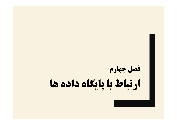# **فصل چهارم ارتباط با پایگاه داده ها**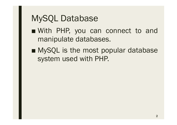- With PHP, you can connect to and manipulate databases.
- MySQL is the most popular database system used with PHP.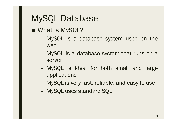■ What is MySQL?

- MySQL is a database system used on the web
- MySQL is a database system that runs on a server
- MySQL is ideal for both small and large applications
- MySQL is very fast, reliable, and easy to use
- MySQL uses standard SQL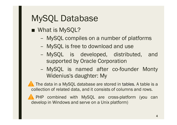- What is MySQL?
	- MySQL compiles on a number of platforms
	- MySQL is free to download and use
	- MySQL is developed, distributed, and supported by Oracle Corporation
	- MySQL is named after co-founder Monty Widenius's daughter: My

**The data in a MySQL database are stored in tables. A table is a** collection of related data, and it consists of columns and rows.

**PHP** combined with MySQL are cross-platform (you can develop in Windows and serve on a Unix platform)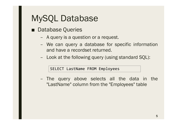- Database Queries
	- A query is a question or a request.
	- We can query a database for specific information and have a recordset returned.
	- Look at the following query (using standard SQL):

SELECT LastName FROM Employees

– The query above selects all the data in the "LastName" column from the "Employees" table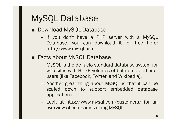- Download MySQL Database
	- If you don't have a PHP server with a MySQL Database, you can download it for free here: http://www.mysql.com
- Facts About MySQL Database
	- MySQL is the de-facto standard database system for web sites with HUGE volumes of both data and endusers (like Facebook, Twitter, and Wikipedia).
	- Another great thing about MySQL is that it can be scaled down to support embedded database applications.
	- Look at http://www.mysql.com/customers/ for an overview of companies using MySQL.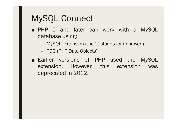- PHP 5 and later can work with a MySQL database using:
	- MySQLi extension (the "i" stands for improved)
	- PDO (PHP Data Objects)
- Earlier versions of PHP used the MySQL extension. However, this extension was deprecated in 2012.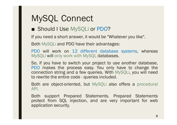■ Should I Use MySQLi or PDO?

If you need a short answer, it would be "Whatever you like".

Both MySQLi and PDO have their advantages:

PDO will work on 12 different database systems, whereas MySQLi will only work with MySQL databases.

So, if you have to switch your project to use another database, PDO makes the process easy. You only have to change the connection string and a few queries. With MySQLi, you will need to rewrite the entire code - queries included.

Both are object-oriented, but MySQLi also offers a procedural API.

Both support Prepared Statements. Prepared Statements protect from SQL injection, and are very important for web application security.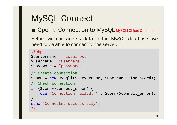#### ■ Open a Connection to MySQL MysqLi Object-Oriented

Before we can access data in the MySQL database, we need to be able to connect to the server:

```
<?php
$servername = "localhost";
$username = "username";
$password = "password";
// Create connection
$conn = new mysqli($servername, $username, $password);
// Check connection
if ($conn->connect_error) {
    die("Connection failed: " . $conn->connect_error);
}
echo "Connected successfully";
?>
```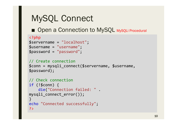■ Open a Connection to MySQL MysqLi Procedural

```
<?php
$servername = "localhost";
$username = "username";
$password = "password";
```

```
// Create connection
$conn = mysqli_connect($servername, $username, 
$password);
```

```
// Check connection
if (!$conn) {
    die("Connection failed: " . 
mysqli_connect_error());
}
echo "Connected successfully";
?>
```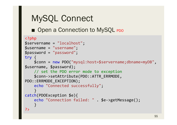■ Open a Connection to MySQL PDO

```
<?php
$servername = "localhost";
$username = "username";
$password = "password";
try {
    $conn = new PDO("mysql:host=$servername;dbname=myDB"
, 
$username, $password);
    // set the PDO error mode to exception
    $conn->setAttribute(PDO::ATTR_ERRMODE, 
PDO::ERRMODE_EXCEPTION);
    echo "Connected successfully";
    }
catch(PDOException $e){
    echo "Connection failed: " . $e->getMessage();
    }
?>
```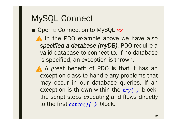■ Open a Connection to MySQL PDO

A In the PDO example above we have also *specified a database (myDB)*. PDO require a valid database to connect to. If no database is specified, an exception is thrown.

A A great benefit of PDO is that it has an exception class to handle any problems that may occur in our database queries. If an exception is thrown within the *try{ }* block, the script stops executing and flows directly to the first *catch(){ }* block.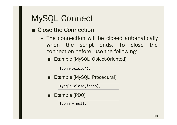- Close the Connection
	- The connection will be closed automatically when the script ends. To close the connection before, use the following:
		- Example (MySQLi Object-Oriented)

\$conn->close();

Example (MySQLi Procedural)

mysqli\_close(\$conn);

■ Example (PDO)

 $$conn = null;$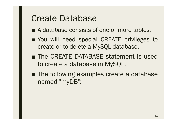#### Create Database

- A database consists of one or more tables.
- You will need special CREATE privileges to create or to delete a MySQL database.
- The CREATE DATABASE statement is used to create a database in MySQL.
- The following examples create a database named "myDB":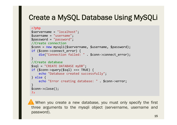#### **Create a MySQL Database Using MySQLi**

```
<?php
$servername = "localhost";
$username = "username";
$password = "password";
//Create connection
$conn = new mysqli($servername, $username, $password);
if ($conn->connect_error) {
    die("Connection failed: " . $conn->connect_error);
}
//Create database
$sql = "CREATE DATABASE myDB";
if (\frac{\sqrt{2}}{\sqrt{2}}\text{sgn}(\frac{\sqrt{2}}{\sqrt{2}})] = \frac{\sqrt{2}}{\sqrt{2}}echo "Database created successfully";
} else {
    echo "Error creating database: " . $conn->error;
}
$conn->close();
?>
```
 When you create a new database, you must only specify the first three arguments to the mysqli object (servername, username and password).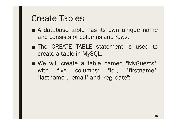- A database table has its own unique name and consists of columns and rows.
- The CREATE TABLE statement is used to create a table in MySQL.
- We will create a table named "MyGuests", with five columns: "id", "firstname", "lastname", "email" and "reg\_date":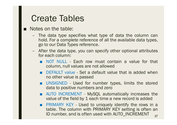- Notes on the table:
	- The data type specifies what type of data the column can hold. For a complete reference of all the available data types, go to our Data Types reference.
	- After the data type, you can specify other optional attributes for each column:
		- NOT NULL Each row must contain a value for that column, null values are not allowed
		- DEFAULT value Set a default value that is added when no other value is passed
		- UNSIGNED Used for number types, limits the stored data to positive numbers and zero
		- AUTO INCREMENT MySQL automatically increases the value of the field by 1 each time a new record is added
		- **PRIMARY KEY Used to uniquely identify the rows in a** table. The column with PRIMARY KEY setting is often an ID number, and is often used with AUTO\_INCREMENT 17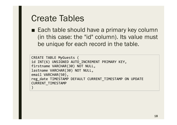■ Each table should have a primary key column (in this case: the "id" column). Its value must be unique for each record in the table.

```
CREATE TABLE MyGuests (
id INT(6) UNSIGNED AUTO_INCREMENT PRIMARY KEY,
firstname VARCHAR(30) NOT NULL,
lastname VARCHAR(30) NOT NULL,
email VARCHAR(50),
reg_date TIMESTAMP DEFAULT CURRENT_TIMESTAMP ON UPDATE 
CURRENT_TIMESTAMP
)
```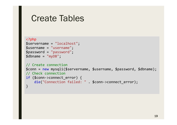```
<?php
$servername = "localhost";
$username = "username";
$password = "password";
$dbname = "myDB";
// Create connection
$conn = new mysqli($servername, $username, $password, $dbname);
// Check connection
if ($conn->connect_error) {
    die("Connection failed: " . $conn->connect_error);
}
```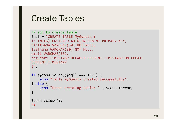```
// sql to create table
$sql = "CREATE TABLE MyGuests (
id INT(6) UNSIGNED AUTO_INCREMENT PRIMARY KEY,
firstname VARCHAR(30) NOT NULL,
lastname VARCHAR(30) NOT NULL,
email VARCHAR(50),
reg_date TIMESTAMP DEFAULT CURRENT_TIMESTAMP ON UPDATE 
CURRENT_TIMESTAMP
)";
if (\text{\$conn}\text{-}>\text{query}(\text{\$sq1}) == \text{TRUE}) {
    echo "Table MyGuests created successfully";
} else {
```

```
echo "Error creating table: " . $conn->error;
```

```
$conn->close();
?>
```
}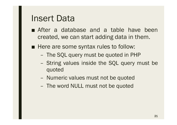#### Insert Data

- After a database and a table have been created, we can start adding data in them.
- Here are some syntax rules to follow:
	- The SQL query must be quoted in PHP
	- String values inside the SQL query must be quoted
	- Numeric values must not be quoted
	- The word NULL must not be quoted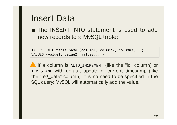#### Insert Data

■ The INSERT INTO statement is used to add new records to a MySQL table:

INSERT INTO table\_name (column1, column2, column3,...) VALUES (value1, value2, value3,...)

**A** If a column is AUTO INCREMENT (like the "id" column) or TIMESTAMP with default update of current\_timesamp (like the "reg\_date" column), it is no need to be specified in the SQL query; MySQL will automatically add the value.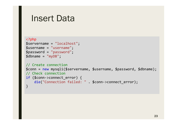#### Insert Data

```
<?php
$servername = "localhost";
$username = "username";
$password = "password";
$dbname = "myDB";
// Create connection
$conn = new mysqli($servername, $username, $password, $dbname);
// Check connection
if ($conn->connect_error) {
    die("Connection failed: " . $conn->connect_error);
}
```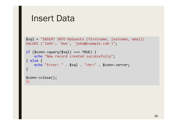```
Insert Data
$sql = "INSERT INTO MyGuests (firstname, lastname, email)
VALUES ('John', 'Doe', 'john@example.com')";
if ( $conn->query ($sq1) == TRUE ) {
   echo "New record created successfully";
} else {
    echo "Error: " . $sql . "<br>" . $conn->error;
}
$conn->close();
?>
```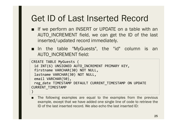## Get ID of Last Inserted Record

- If we perform an INSERT or UPDATE on a table with an AUTO\_INCREMENT field, we can get the ID of the last inserted/updated record immediately.
- In the table "MyGuests", the "id" column is an AUTO\_INCREMENT field:

```
CREATE TABLE MyGuests (
 id INT(6) UNSIGNED AUTO_INCREMENT PRIMARY KEY,
 firstname VARCHAR(30) NOT NULL,
 lastname VARCHAR(30) NOT NULL,
 email VARCHAR(50),
 reg date TIMESTAMP DEFAULT CURRENT TIMESTAMP ON UPDATE
CURRENT_TIMESTAMP
)
```
■ The following examples are equal to the examples from the previous example, except that we have added one single line of code to retrieve the ID of the last inserted record. We also echo the last inserted ID: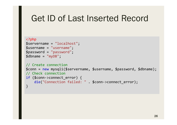#### Get ID of Last Inserted Record

```
<?php
$servername = "localhost";
$username = "username";
$password = "password";
$dbname = "myDB";
// Create connection
$conn = new mysqli($servername, $username, $password, $dbname);
// Check connection
if ($conn->connect_error) {
    die("Connection failed: " . $conn->connect_error);
}
```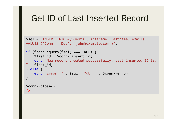#### Get ID of Last Inserted Record

```
$sql = "INSERT INTO MyGuests (firstname, lastname, email)
VALUES ('John', 'Doe', 'john@example.com')";
```

```
if (\text{\$conn}\text{-}\text{square}(\text{\$sq1}) == \text{TRUE}) {
    $last id = $conn->insert id;
    echo "New record created successfully. Last inserted ID is: 
". $last id;
} else {
    echo "Error: " . $sql . "<br>" . $conn->error;
}
$conn->close();
?>
```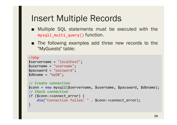#### Insert Multiple Records

- Multiple SQL statements must be executed with the mysqli\_multi\_query() function.
- The following examples add three new records to the "MyGuests" table:

```
<?php
$servername = "localhost";
$username = "username";
$password = "password";
$dbname = "myDB";
// Create connection
$conn = new mysqli($servername, $username, $password, $dbname);
// Check connection
if ($conn->connect_error) {
    die("Connection failed: " . $conn->connect_error);
}
```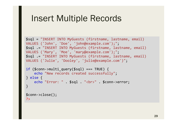#### Insert Multiple Records

```
$sql = "INSERT INTO MyGuests (firstname, lastname, email)
VALUES ('John', 'Doe', 'john@example.com');";
$sql .= "INSERT INTO MyGuests (firstname, lastname, email)
VALUES ('Mary', 'Moe', 'mary@example.com');";
$sql .= "INSERT INTO MyGuests (firstname, lastname, email)
VALUES ('Julie', 'Dooley', 'julie@example.com')";
```

```
if ($conn->multi query($sql) === TRUE) {
    echo "New records created successfully";
} else {
    echo "Error: " . $sql . "<br>" . $conn->error;
}
$conn->close();
```
?>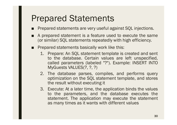- Prepared statements are very useful against SQL injections.
- A prepared statement is a feature used to execute the same (or similar) SQL statements repeatedly with high efficiency.
- Prepared statements basically work like this:
	- 1. Prepare: An SQL statement template is created and sent to the database. Certain values are left unspecified, called parameters (labeled "?"). Example: INSERT INTO MyGuests VALUES(?, ?, ?)
	- 2. The database parses, compiles, and performs query optimization on the SQL statement template, and stores the result without executing it
	- 3. Execute: At a later time, the application binds the values to the parameters, and the database executes the statement. The application may execute the statement as many times as it wants with different values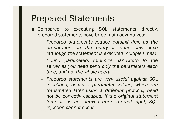- Compared to executing SQL statements directly, prepared statements have three main advantages:
	- *Prepared statements reduce parsing time as the preparation on the query is done only once (although the statement is executed multiple times)*
	- *Bound parameters minimize bandwidth to the server as you need send only the parameters each time, and not the whole query*
	- *Prepared statements are very useful against SQL injections, because parameter values, which are transmitted later using a different protocol, need not be correctly escaped. If the original statement template is not derived from external input, SQL injection cannot occur.*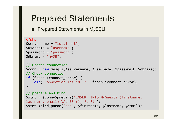■ Prepared Statements in MySQLi

```
<?php
$servername = "localhost";
$username = "username";
$password = "password";
$dbname = "myDB";
// Create connection
$conn = new mysqli($servername, $username, $password, $dbname);
// Check connection
if ($conn->connect_error) {
    die("Connection failed: " . $conn->connect_error);
}
// prepare and bind
$stmt = $conn->prepare("INSERT INTO MyGuests (firstname, 
lastname, email) VALUES (?, ?, ?)");
$stmt->bind_param("sss", $firstname, $lastname, $email);
```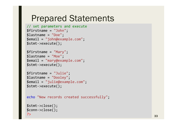```
// set parameters and execute
$firstname = "John";
$lastname = "Doe";
$email = "john@example.com";
$stmt->execute();
```

```
$firstname = "Mary";
$lastname = "Moe";
$email = "mary@example.com";
$stmt->execute();
```

```
$firstname = "Julie";
$lastname = "Dooley";
$email = "julie@example.com";
$stmt->execute();
```
echo "New records created successfully";

```
$stmt->close();
$conn->close();
?>
```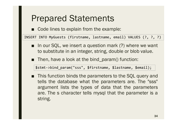■ Code lines to explain from the example:

INSERT INTO MyGuests (firstname, lastname, email) VALUES (?, ?, ?)

- In our SQL, we insert a question mark (?) where we want to substitute in an integer, string, double or blob value.
- Then, have a look at the bind\_param() function:

\$stmt->bind\_param("sss", \$firstname, \$lastname, \$email);

■ This function binds the parameters to the SQL query and tells the database what the parameters are. The "sss" argument lists the types of data that the parameters are. The s character tells mysql that the parameter is a string.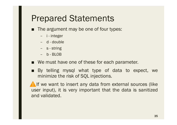- The argument may be one of four types:
	- i integer
	- d double
	- s string
	- b BLOB
- We must have one of these for each parameter.
- By telling mysql what type of data to expect, we minimize the risk of SQL injections.

**A** If we want to insert any data from external sources (like user input), it is very important that the data is sanitized and validated.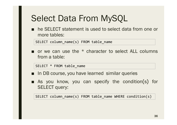■ he SELECT statement is used to select data from one or more tables:

SELECT column\_name(s) FROM table\_name

or we can use the  $*$  character to select ALL columns from a table:

SELECT \* FROM table\_name

- In DB course, you have learned similar queries
- As you know, you can specify the condition(s) for SELECT query:

SELECT column\_name(s) FROM table\_name WHERE condition(s)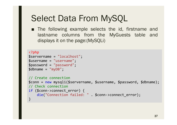■ The following example selects the id, firstname and lastname columns from the MyGuests table and displays it on the page:(MySQLi)

```
<?php
$servername = "localhost";
$username = "username";
$password = "password";
$dbname = "myDB";
// Create connection
$conn = new mysqli($servername, $username, $password, $dbname);
// Check connection
if ($conn->connect_error) {
    die("Connection failed: " . $conn->connect_error);
}
```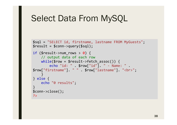```
$sql = "SELECT id, firstname, lastname FROM MyGuests";
$result = $conn\text{-}square ($sg1);if ($result->num_rows > \theta) {
    // output data of each row
    while($row = $result->fetch assoc()) {
        echo "id: " . $row["id"]. " - Name: " . 
$row["firstname"]. " " . $row["lastname"]. "<br>";
    }
} else {
    echo "0 results";
}
$conn->close();
?>
```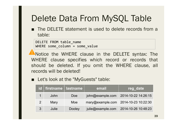## Delete Data From MySQL Table

■ The DELETE statement is used to delete records from a table:

DELETE FROM table name WHERE some column = some value

Notice the WHERE clause in the DELETE syntax: The WHERE clause specifies which record or records that should be deleted. If you omit the WHERE clause, all records will be deleted!

■ Let's look at the "MyGuests" table:

|   | id   firstname   lastname |               | email             | reg_date                             |
|---|---------------------------|---------------|-------------------|--------------------------------------|
|   | John                      | Doe           | john@example.com  | 2014-10-22 14:26:15                  |
| 2 | Mary                      | Moe           |                   | mary@example.com 2014-10-23 10:22:30 |
| 3 | Julie                     | <b>Dooley</b> | julie@example.com | 2014-10-26 10:48:23                  |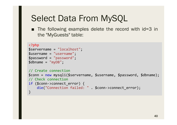■ The following examples delete the record with id=3 in the "MyGuests" table:

```
<?php
$servername = "localhost";
$username = "username";
$password = "password";
$dbname = "myDB";
// Create connection
$conn = new mysqli($servername, $username, $password, $dbname);
// Check connection
if ($conn->connect_error) {
    die("Connection failed: " . $conn->connect_error);
}
```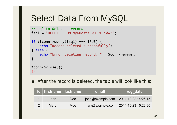```
// sql to delete a record
$sql = "DELETE FROM MyGuests WHERE id=3";
if (\text{\$conn}\text{-}>\text{query}(\text{\$sq1}) == \text{TRUE}) {
    echo "Record deleted successfully";
} else {
    echo "Error deleting record: " . $conn->error;
}
$conn->close();
?>
```
■ After the record is deleted, the table will look like this:

| id firstname lastname |            | email | reg date                             |
|-----------------------|------------|-------|--------------------------------------|
| John                  | <b>Doe</b> |       | john@example.com 2014-10-22 14:26:15 |
| Mary                  | Moe        |       | mary@example.com 2014-10-23 10:22:30 |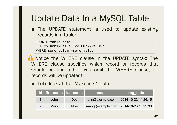## Update Data In a MySQL Table

■ The UPDATE statement is used to update existing records in a table:

UPDATE table\_name SET column1=value, column2=value2,... WHERE some column=some value

Notice the WHERE clause in the UPDATE syntax: The WHERE clause specifies which record or records that should be updated. If you omit the WHERE clause, all records will be updated!

■ Let's look at the "MyGuests" table:

| id   firstname   lastname |            | email                                | reg date                             |
|---------------------------|------------|--------------------------------------|--------------------------------------|
| John                      | <b>Doe</b> |                                      | john@example.com 2014-10-22 14:26:15 |
| Marv                      | Moe        | mary@example.com 2014-10-23 10:22:30 |                                      |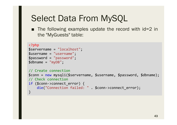■ The following examples update the record with id=2 in the "MyGuests" table:

```
<?php
$servername = "localhost";
$username = "username";
$password = "password";
$dbname = "myDB";
// Create connection
$conn = new mysqli($servername, $username, $password, $dbname);
// Check connection
if ($conn->connect_error) {
    die("Connection failed: " . $conn->connect_error);
}
```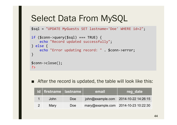\$sql = "UPDATE MyGuests SET lastname='Doe' WHERE id=2";

```
if (\text{\$conn}\text{-}\text{square}(\text{\$sq1}) == \text{TRUE}) {
    echo "Record updated successfully";
} else {
    echo "Error updating record: " . $conn->error;
}
$conn->close();
?>
```
■ After the record is updated, the table will look like this:

| id   firstname   lastname |     | email | reg date                             |
|---------------------------|-----|-------|--------------------------------------|
| John                      | Doe |       | john@example.com 2014-10-22 14:26:15 |
| Mary                      | Doe |       | mary@example.com 2014-10-23 10:22:30 |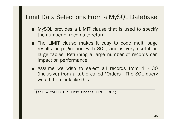#### Limit Data Selections From a MySQL Database

- MySQL provides a LIMIT clause that is used to specify the number of records to return.
- The LIMIT clause makes it easy to code multi page results or pagination with SQL, and is very useful on large tables. Returning a large number of records can impact on performance.
- Assume we wish to select all records from 1 30 (inclusive) from a table called "Orders". The SQL query would then look like this:

\$sql = "SELECT \* FROM Orders LIMIT 30";